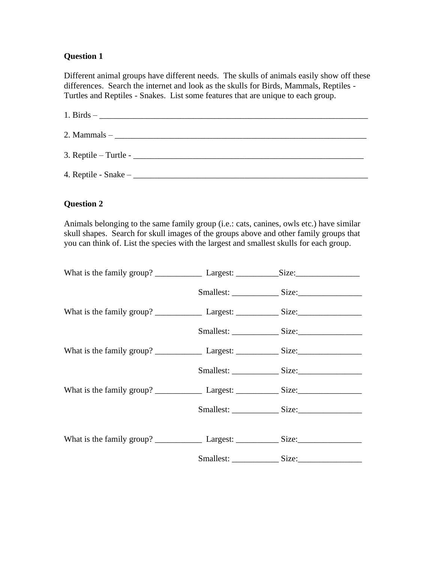Different animal groups have different needs. The skulls of animals easily show off these differences. Search the internet and look as the skulls for Birds, Mammals, Reptiles - Turtles and Reptiles - Snakes. List some features that are unique to each group.

| $2.$ Mammals $-$ |
|------------------|
|                  |
|                  |

## **Question 2**

Animals belonging to the same family group (i.e.: cats, canines, owls etc.) have similar skull shapes. Search for skull images of the groups above and other family groups that you can think of. List the species with the largest and smallest skulls for each group.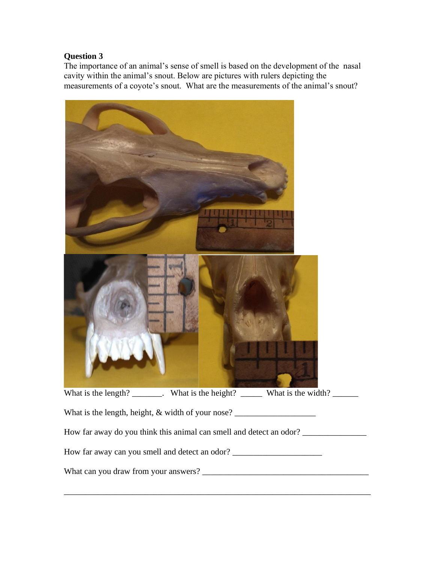The importance of an animal's sense of smell is based on the development of the nasal cavity within the animal's snout. Below are pictures with rulers depicting the measurements of a coyote's snout. What are the measurements of the animal's snout?

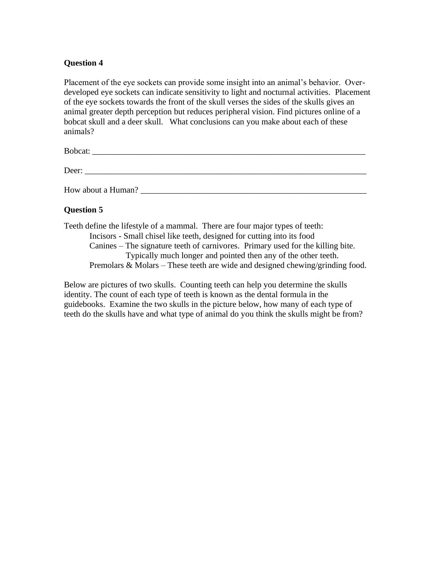Placement of the eye sockets can provide some insight into an animal's behavior. Overdeveloped eye sockets can indicate sensitivity to light and nocturnal activities. Placement of the eye sockets towards the front of the skull verses the sides of the skulls gives an animal greater depth perception but reduces peripheral vision. Find pictures online of a bobcat skull and a deer skull. What conclusions can you make about each of these animals?

Bobcat: \_\_\_\_\_\_\_\_\_\_\_\_\_\_\_\_\_\_\_\_\_\_\_\_\_\_\_\_\_\_\_\_\_\_\_\_\_\_\_\_\_\_\_\_\_\_\_\_\_\_\_\_\_\_\_\_\_\_\_\_\_\_\_\_

Deer:

How about a Human?

# **Question 5**

Teeth define the lifestyle of a mammal. There are four major types of teeth: Incisors - Small chisel like teeth, designed for cutting into its food Canines – The signature teeth of carnivores. Primary used for the killing bite. Typically much longer and pointed then any of the other teeth. Premolars & Molars – These teeth are wide and designed chewing/grinding food.

Below are pictures of two skulls. Counting teeth can help you determine the skulls identity. The count of each type of teeth is known as the dental formula in the guidebooks. Examine the two skulls in the picture below, how many of each type of teeth do the skulls have and what type of animal do you think the skulls might be from?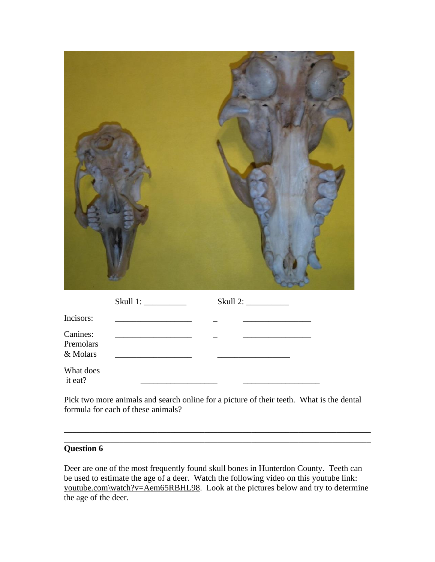|--|--|

|                                   |                                                                            | Skull 2: |  |
|-----------------------------------|----------------------------------------------------------------------------|----------|--|
| Incisors:                         |                                                                            |          |  |
| Canines:<br>Premolars<br>& Molars | the control of the control of the control of the control of the control of |          |  |
| What does<br>it eat?              |                                                                            |          |  |

Pick two more animals and search online for a picture of their teeth. What is the dental formula for each of these animals?

\_\_\_\_\_\_\_\_\_\_\_\_\_\_\_\_\_\_\_\_\_\_\_\_\_\_\_\_\_\_\_\_\_\_\_\_\_\_\_\_\_\_\_\_\_\_\_\_\_\_\_\_\_\_\_\_\_\_\_\_\_\_\_\_\_\_\_\_\_\_\_\_ \_\_\_\_\_\_\_\_\_\_\_\_\_\_\_\_\_\_\_\_\_\_\_\_\_\_\_\_\_\_\_\_\_\_\_\_\_\_\_\_\_\_\_\_\_\_\_\_\_\_\_\_\_\_\_\_\_\_\_\_\_\_\_\_\_\_\_\_\_\_\_\_

# **Question 6**

Deer are one of the most frequently found skull bones in Hunterdon County. Teeth can be used to estimate the age of a deer. Watch the following video on this youtube link: youtube.com\watch?v=Aem65RBHL98. Look at the pictures below and try to determine the age of the deer.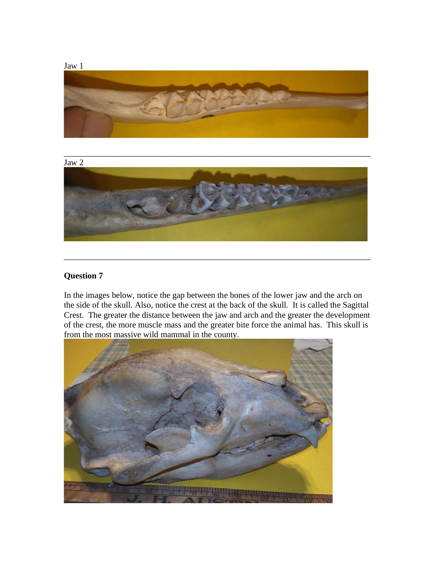



In the images below, notice the gap between the bones of the lower jaw and the arch on the side of the skull. Also, notice the crest at the back of the skull. It is called the Sagittal Crest. The greater the distance between the jaw and arch and the greater the development of the crest, the more muscle mass and the greater bite force the animal has. This skull is from the most massive wild mammal in the county.

\_\_\_\_\_\_\_\_\_\_\_\_\_\_\_\_\_\_\_\_\_\_\_\_\_\_\_\_\_\_\_\_\_\_\_\_\_\_\_\_\_\_\_\_\_\_\_\_\_\_\_\_\_\_\_\_\_\_\_\_\_\_\_\_\_\_\_\_\_\_\_\_

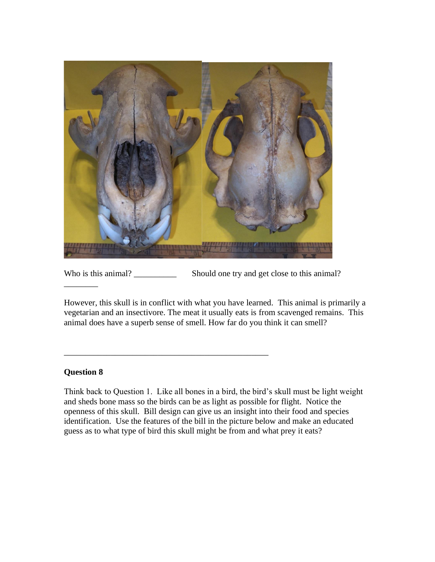

Who is this animal? \_\_\_\_\_\_\_\_\_\_\_\_\_\_ Should one try and get close to this animal?

\_\_\_\_\_\_\_\_\_\_\_\_\_\_\_\_\_\_\_\_\_\_\_\_\_\_\_\_\_\_\_\_\_\_\_\_\_\_\_\_\_\_\_\_\_\_\_\_

However, this skull is in conflict with what you have learned. This animal is primarily a vegetarian and an insectivore. The meat it usually eats is from scavenged remains. This animal does have a superb sense of smell. How far do you think it can smell?

## **Question 8**

\_\_\_\_\_\_\_\_

Think back to Question 1. Like all bones in a bird, the bird's skull must be light weight and sheds bone mass so the birds can be as light as possible for flight. Notice the openness of this skull. Bill design can give us an insight into their food and species identification. Use the features of the bill in the picture below and make an educated guess as to what type of bird this skull might be from and what prey it eats?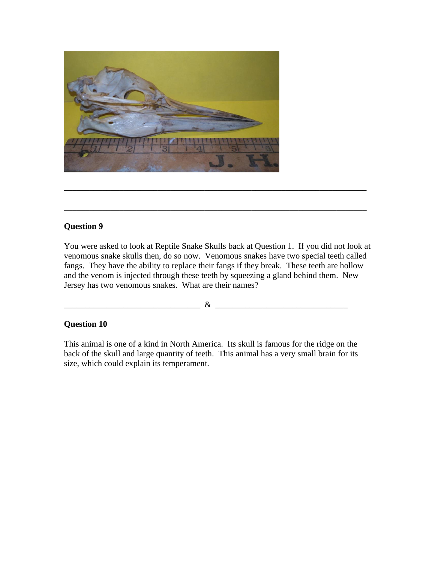

You were asked to look at Reptile Snake Skulls back at Question 1. If you did not look at venomous snake skulls then, do so now. Venomous snakes have two special teeth called fangs. They have the ability to replace their fangs if they break. These teeth are hollow and the venom is injected through these teeth by squeezing a gland behind them. New Jersey has two venomous snakes. What are their names?

\_\_\_\_\_\_\_\_\_\_\_\_\_\_\_\_\_\_\_\_\_\_\_\_\_\_\_\_\_\_\_\_\_\_\_\_\_\_\_\_\_\_\_\_\_\_\_\_\_\_\_\_\_\_\_\_\_\_\_\_\_\_\_\_\_\_\_\_\_\_\_

\_\_\_\_\_\_\_\_\_\_\_\_\_\_\_\_\_\_\_\_\_\_\_\_\_\_\_\_\_\_\_\_\_\_\_\_\_\_\_\_\_\_\_\_\_\_\_\_\_\_\_\_\_\_\_\_\_\_\_\_\_\_\_\_\_\_\_\_\_\_\_

\_\_\_\_\_\_\_\_\_\_\_\_\_\_\_\_\_\_\_\_\_\_\_\_\_\_\_\_\_\_\_\_ & \_\_\_\_\_\_\_\_\_\_\_\_\_\_\_\_\_\_\_\_\_\_\_\_\_\_\_\_\_\_\_

### **Question 10**

This animal is one of a kind in North America. Its skull is famous for the ridge on the back of the skull and large quantity of teeth. This animal has a very small brain for its size, which could explain its temperament.